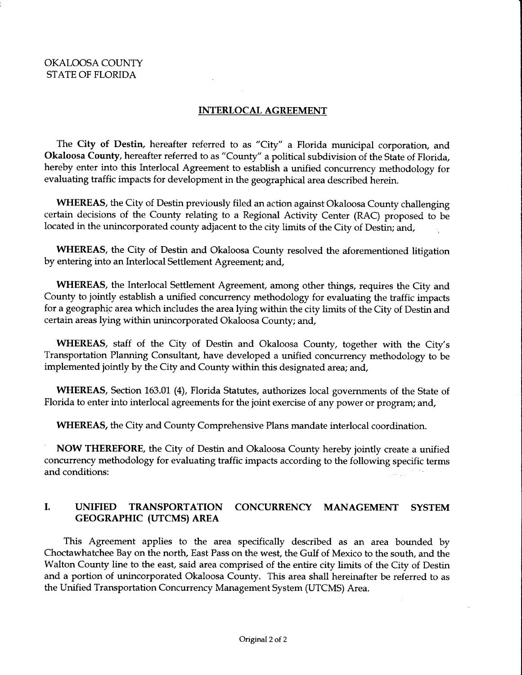### OKALOOSA COUNTY STATE OF FLORIDA

#### INTERLOCAL AGREEMENT

The City of Destin, hereafter referred to as "City" <sup>a</sup> Florida municipal corporation, and Okaloosa County, hereafter referred to as "County" a political subdivision of the State of Florida, hereby enter into this Interlocal Agreement to establish <sup>a</sup> unified concurrency methodology for evaluating traffic impacts for development in the geographical area described herein.

WHEREAS, the City of Destin previously filed an action against Okaloosa County challenging certain decisions of the County relating to <sup>a</sup> Regional Activity Center (RAC) proposed to be located in the unincorporated county adjacent to the city limits of the City of Destin; and,

WHEREAS, the City of Destin and Okaloosa County resolved the aforementioned litigation by entering into an Interlocal Settlement Agreement; and,

WHEREAS, the Interlocal Settlement Agreement, among other things, requires the City and County to jointly establish <sup>a</sup> unified concurrency methodology for evaluating the traffic impacts for <sup>a</sup> geographic area which includes the area lying within the city limits of the City of Destin and certain areas lying within unincorporated Okaloosa County; and,

WHEREAS, staff of the City of Destin and Okaloosa County, together with the City's Transportation Planning Consultant, have developed <sup>a</sup> unified concurrency methodology to be implemented jointly by the City and County within this designated area; and,

WHEREAS, Section 163.01 (4), Florida Statutes, authorizes local governments of the State of Florida to enter into interlocal agreements for the joint exercise of any power or program; and,

WHEREAS, the City and County Comprehensive Plans mandate interlocal coordination.

NOW THEREFORE, the City of Destin and Okaloosa County hereby jointly create <sup>a</sup> unified concurrency methodology for evaluating traffic impacts according to the following specific terms and conditions:

#### I. UNIFIED TRANSPORTATION CONCURRENCY MANAGEMENT SYSTEM GEOGRAPHIC (UTCMS) AREA

This Agreement applies to the area specifically described as an area bounded by Choctawhatchee Bay on the north, East Pass on the west, the Gulf of Mexico to the south, and the Walton County line to the east, said area comprised of the entire city limits of the City of Destin and <sup>a</sup> portion of unincorporated Okaloosa County. This area shall hereinafter be referred to as the Unified Transportation concurrency Management System (UTCMS) Area.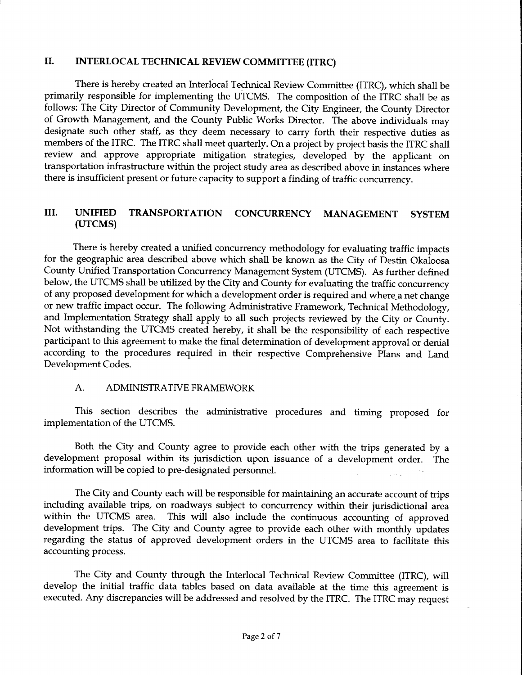#### II. INTERLOCAL TECHNICAL REVIEW COMMITTEE (ITRC)

There is hereby created an Interlocal Technical Review Committee (ITRC), which shall be primarily responsible for implementing the UTCMS. The composition of the ITRC shall be as follows: The City Director of Community Development, the City Engineer, the County Director of Growth Management, and the County Public Works Director. The above individuals may designate such other staff, as they deem necessary to carry forth their respective duties as members of the ITRC. The ITRC shall meet quarterly. On <sup>a</sup> project by project basis the ITRC shall review and approve appropriate mitigation strategies, developed by the applicant on transportation infrastructure within the project study area as described above in instances where there is insufficient present or future capacity to support <sup>a</sup> finding of traffic concurrency.

### III. UNIFIED TRANSPORTATION CONCURRENCY MANAGEMENT SYSTEM UTCMS)

There is hereby created <sup>a</sup> unified concurrency methodology for evaluating traffic impacts for the geographic area described above which shall be known as the City of Destin Okaloosa County Unified Transportation concurrency Management System (UTCMS). As further defined below, the UTCMS shall be utilized by the City and County for evaluating the traffic concurrency of any proposed development for which <sup>a</sup> development order is required and where <sup>a</sup> net change or new traffic impact occur. The following Administrative Framework, Technical Methodology, and Implementation Strategy shall apply to all such projects reviewed by the City or County. Not withstanding the UTCMS created hereby, it shall be the responsibility of each respective participant to this agreement to make the final determination of development approval or denial according to the procedures required in their respective Comprehensive Plans and Land Development Codes.

#### A. ADMINISTRATIVE FRAMEWORK

This section describes the administrative procedures and timing proposed for implementation of the UTCMS.

Both the City and County agree to provide each other with the trips generated by <sup>a</sup> development proposal within its jurisdiction upon issuance of <sup>a</sup> development order. The information will be copied to pre-designated personnel

The City and County each will be responsible for maintaining an accurate account of trips including available trips, on roadways subject to concurrency within their jurisdictional area This will also include the continuous accounting of approved development trips. The City and County agree to provide each other with monthly updates regarding the status of approved development orders in the UTCMS area to facilitate this accounting process.

The City and County through the Interlocal Technical Review Committee (ITRC), will develop the initial traffic data tables based on data available at the time this agreement is executed. Any discrepancies will be addressed and resolved by the ITRC. The ITRC may request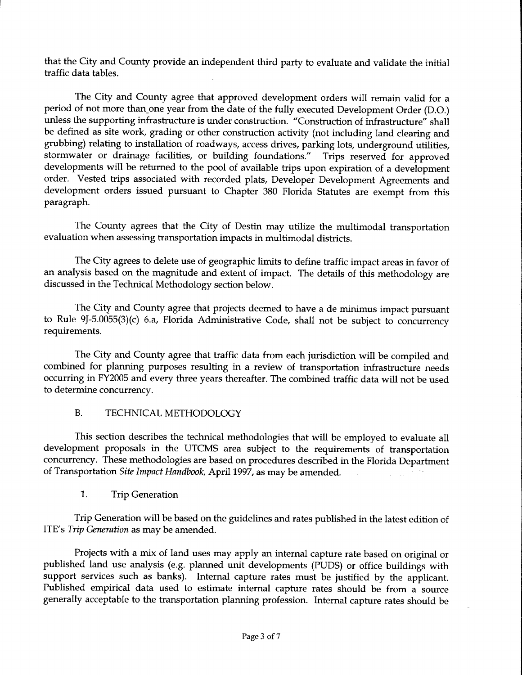that the City and County provide an independent third party to evaluate and validate the initial traffic data tables.

The City and County agree that approved development orders will remain valid for <sup>a</sup> period of not more than one year from the date of the fully executed Development Order (D.O.) unless the supporting infrastructure is under construction. "Construction of infrastructure' shall be defined as site work, grading or other construction activity (not including land clearing and grubbing) relating to installation of roadways, access drives, parking lots, underground utilities, stormwater or drainage facilities, or building foundations." Trips reserved for approved developments will be returned to the pool of available trips upon expiration of <sup>a</sup> development order. Vested trips associated with recorded plats, Developer Development Agreements and development orders issued pursuant to Chapter <sup>380</sup> Florida Statutes are exempt from this paragraph.

The County agrees that the City of Destin may utilize the multimodal transportation evaluation when assessing transportation impacts in multimodal districts.

The City agrees to delete use of geographic limits to define traffic impact areas in favor of an analysis based on the magnitude and extent of impact. The details of this methodology are discussed in the Technical Methodology section below. evaluation when assessing transportation impacts in multimodal districts.<br>The City agrees to delete use of geographic limits to define traffic impact areas in favor of<br>an analysis based on the magnitude and extent of impac

The City and County agree that projects deemed to have a de minimus impact pursuant<br>to Rule 9J-5.0055(3)(c) 6.a, Florida Administrative Code, shall not be subject to concurrency requirements.

The City and County agree that traffic data from each jurisdiction will be compiled and combined for planning purposes resulting in <sup>a</sup> review of transportation infrastructure needs occurring in FY2005 and every three years thereafter. The combined traffic data will not be used to determine concurrency.

# B. TECHNICAL METHODOLOGY

This section describes the technical methodologies that will be employed to evaluate all development proposals in the UTCMS area subject to the requirements of transportation concurrency. These methodologies are based on procedures described in the Florida Department of Transportation Site Impact Handbook, April 1997, as may be amended.

### 1. Trip Generation

Trip Generation will be based on the guidelines and rates published in the latest edition of ITE's Trip Generation as may be amended.

Projects with <sup>a</sup> mix of land uses may apply an internal capture rate based on original or published land use analysis (e.g. planned unit developments (PUDS) or office buildings with support services such as banks). Internal capture rates must be justified by the applicant. Published empirical data used to estimate internal capture rates should be from <sup>a</sup> source generally acceptable to the transportation planning profession. Internal capture rates should be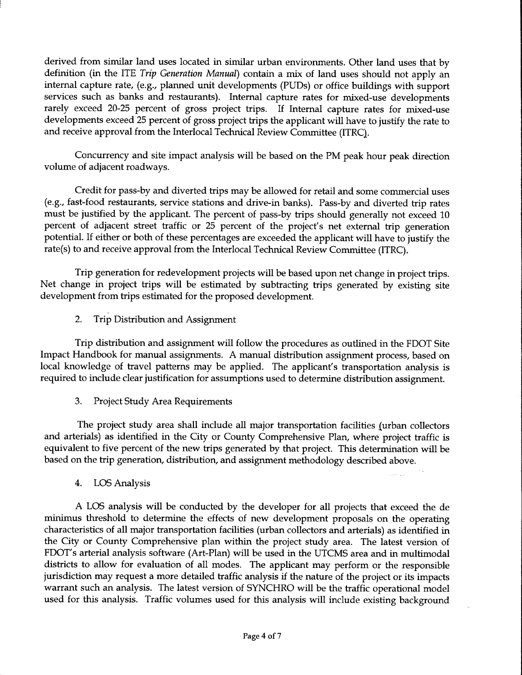derived from similar land uses located in similar urban environments. Other land uses that by definition (in the ITE Trip Generation Manual) contain <sup>a</sup> mix of land uses should not apply an internal capture rate, (e.g., planned unit developments (PUDs) or office buildings with support services such as banks and restaurants). Internal capture rates for mixed-use developments rarely exceed 20-25 percent of gross project trips. If Internal capture rates for mixed-use developments exceed <sup>25</sup> percent of gross project trips the applicant will have to justify the rate to and receive approval from the Interlocal Technical Review Committee (ITRC),.

Concurrency and site impact analysis will be based on the PM peak hour peak direction volume of adjacent roadways.

Credit for pass-by and diverted trips may be allowed for retail and some commercial uses e.g., fast-food restaurants, service stations and drive-in banks). Pass-by and diverted trip rates (e.g.) has food restaurants, service stations and drive-in banks). These by and drivertied trip rates<br>must be justified by the applicant. The percent of pass-by trips should generally not exceed 10<br>percent of adjacent stre potential. If either or both of these percentages are exceeded the applicant will have to justify the rate(s) to and receive approval from the Interlocal Technical Review Committee (ITRC).

Trip generation for redevelopment projects will be based upon net change in project trips. Net change in project trips will be estimated by subtracting trips generated by existing site development from trips estimated for the proposed development.

2. Trip Distribution and Assignment

Trip distribution and assignment will follow the procedures as outlined in the FDOT Site Impact Handbook for manual assignments. A manual distribution assignment process, based on local knowledge of travel patterns may be applied. The applicant's transportation analysis is required to include clear justification for assumptions used to determine distribution assignment.

3. Project Study Area Requirements

The project study area shall include all major transportation facilities (urban collectors and arterials) as identified in the City or County Comprehensive Plan, where project traffic is equivalent to five percent of the new trips generated by that project. This determination will be based on the trip generation, distribution, and assignment methodology described above.

4. LOS Analysis

<sup>A</sup> LOS analysis will be conducted by the developer for all projects that exceed the de minimus threshold to determine the effects of new development proposals on the operating characteristics of all major transportation facilities (urban collectors and arterials) as identified in the City or County Comprehensive plan within the project study area. The latest version of FDOT's arterial analysis software (Art-Plan) will be used in the UTCMS area and in multimodal districts to allow for evaluation of all modes. The applicant may perform or the responsible jurisdiction may request <sup>a</sup> more detailed traffic analysis if the nature of the project or its impacts warrant such an analysis. The latest version of SYNCHRO will be the traffic operational model used for this analysis. Traffic volumes used for this analysis will include existing background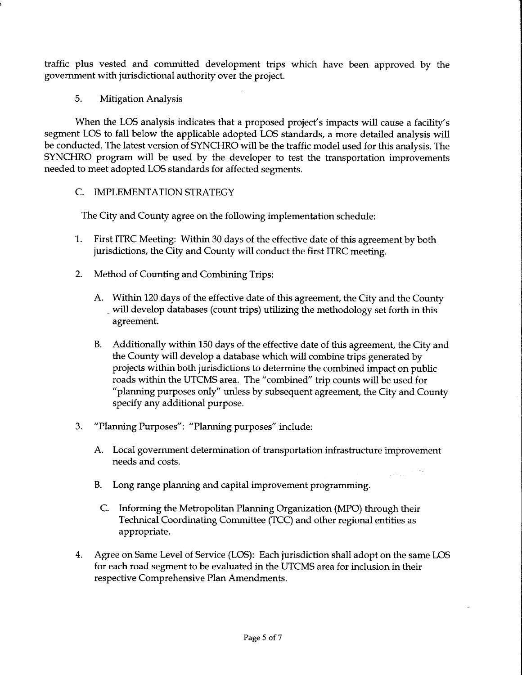traffic plus vested and committed development trips which have been approved by the government with jurisdictional authority over the project.

5. Mitigation Analysis

When the LOS analysis indicates that <sup>a</sup> proposed project'simpacts will cause <sup>a</sup> facility's segment LOS to fall below the applicable adopted LOS standards, <sup>a</sup> more detailed analysis will be conducted. The latest version of SYNCHRO will be the traffic model used for this analysis. The SYNCHRO program will be used by the developer to test the transportation improvements needed to meet adopted LOS standards for affected segments.

# C. IMPLEMENTATION STRATEGY

The City and County agree on the following implementation schedule:

- First ITRC Meeting: Within <sup>30</sup> days of the effective date of this agreement by both jurisdictions, the City and County will conduct the first ITRC meeting.
- 2. Method of Counting and Combining Trips:
	- A. Within <sup>120</sup> days of the effective date of this agreement, the City and the County will develop databases (count trips) utilizing the methodology set forth in this agreement.
	- B. Additionally within <sup>150</sup> days of the effective date of this agreement, the City and the County will develop <sup>a</sup> database which will combine trips generated by projects within both jurisdictions to determine the combined impact on public roads within the UTCMS area. The "combined" trip counts will be used for planning purposes only' unless by subsequent agreement, the City and County specify any additional purpose.
- 3. "Planning Purposes': "Planning purposes' include:
	- A. Local government determination of transportation infrastructure improvement needs and costs.
	- B. Long range planning and capital improvement programming.
		- C. Informing the Metropolitan Planning Organization (MPO) through their Technical Coordinating Committee (TCC) and other regional entities as appropriate.
- 4. Agree on Same Level of Service (LOS): Each jurisdiction shall adopt on the same LOS for each road segment to be evaluated in the UTCMS area for inclusion in their respective Comprehensive Plan Amendments.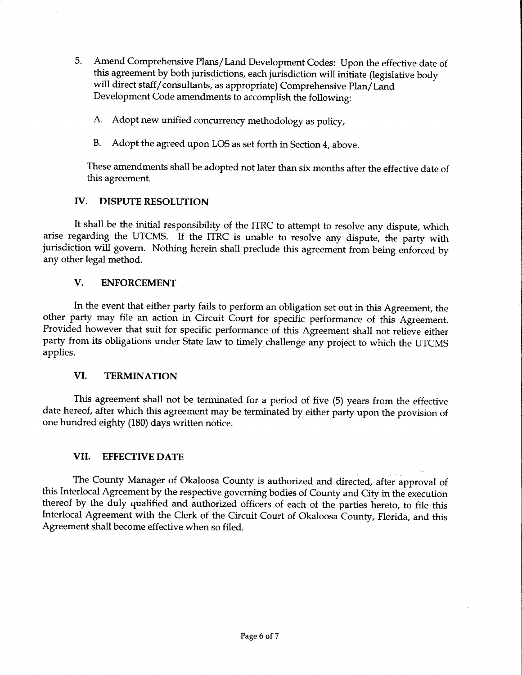- 5. Amend Comprehensive Plans/Land Development Codes: Upon the effective date of this agreement by both jurisdictions, each jurisdiction will initiate (legislative body will direct staff/consultants, as appropriate) Comprehensive Plan/Land Development Code amendments to accomplish the following:
	- A. Adopt new unified concurrency methodology as policy,
	- B. Adopt the agreed upon LOS as set forth in Section 4, above.

These amendments shall be adopted not later than six months after the effective date of this agreement.

## IV. DISPUTE RESOLUTION

It shall be the initial responsibility of the ITRC to attempt to resolve any dispute, which arise regarding the UTCMS. If the ITRC is unable to resolve any dispute, the party with jurisdiction will govern. Nothing herein shall preclude this agreement from being enforced by any other legal method.

### V. ENFORCEMENT

In the event that either party fails to perform an obligation set out in this Agreement, the other party may file an action in Circuit Court for specific performance of this Agreement. Provided however that suit for specific performance of this Agreement shall not relieve either party from its obligations under State law to timely challenge any project to which the UTCMS applies.

### VI. TERMINATION

This agreement shall not be terminated for <sup>a</sup> period of five (5) years from the effective date hereof, after which this agreement may be terminated by either party upon the provision of one hundred eighty (180) days written notice.

### VII. EFFECTIVE DATE

The County Manager of Okaloosa County is authorized and directed, after approval of this Interlocal Agreement by the respective governing bodies of County and City in the execution thereof by the duly qualified and authorized officers of each of the parties hereto, to file this Interlocal Agreement with the Clerk of the Circuit Court of Okaloosa County, Florida, and this Agreement shall become effective when so filed.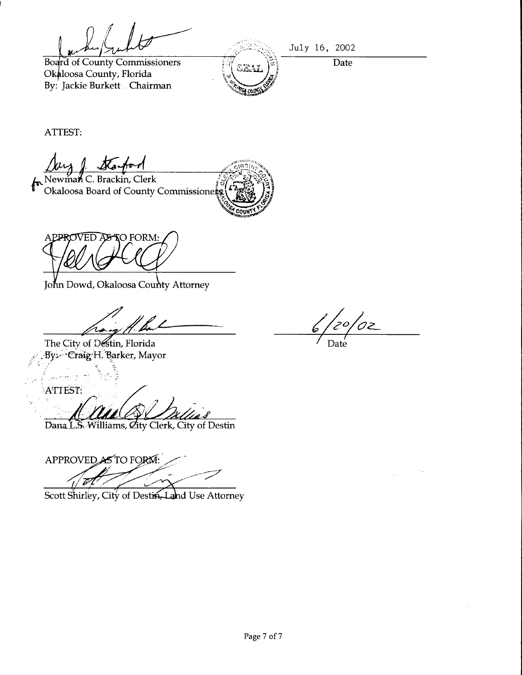Board of County Commissioners Okaloosa County, Florida By: Jackie Burkett . Chairman



July 16, 2002

Date

ATTEST:

Newman C. Brackin, Clerk Okaloosa Board of County Commissioners



A PROVED AS TO FORM:

John Dowd, Okaloosa County Attorney

The City of Destin, Florida By, Craig H. Barker, Mayor

ender<br>ATTEST:

Dana L.S. Williams, *C*ity Clerk, City of Destin

APPROVED AS TO FO **RIV**<br>U<br>istia  $\frac{f}{f}$  Destin

Scott Shirley, City of Destin, Land Use Attorney

 $z$ °/02

Date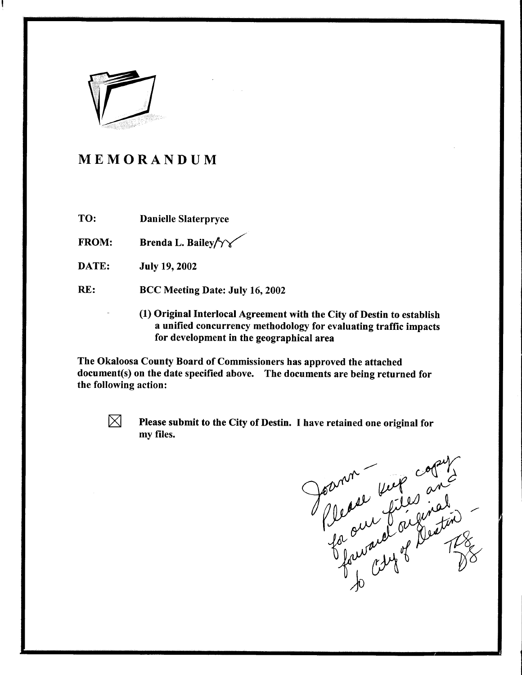

# MEMORANDUM

TO: Danielle Slaterpryce

FROM: Brenda L. Bailey/ $\sqrt[4]{\gamma}$ 

DATE: July 19, <sup>2002</sup>

RE: BCC Meeting Date: July 16, <sup>2002</sup>

1) Original Interlocal Agreement with the City of Destin to establish <sup>a</sup> unified concurrency methodology for evaluating traffic impacts for development in the geographical area

The Okaloosa County Board of Commissioners has approved the attached document(s) on the date specified above. The documents are being returned for the following action:



Please submit to the City of Destin. I have retained one original for my files.